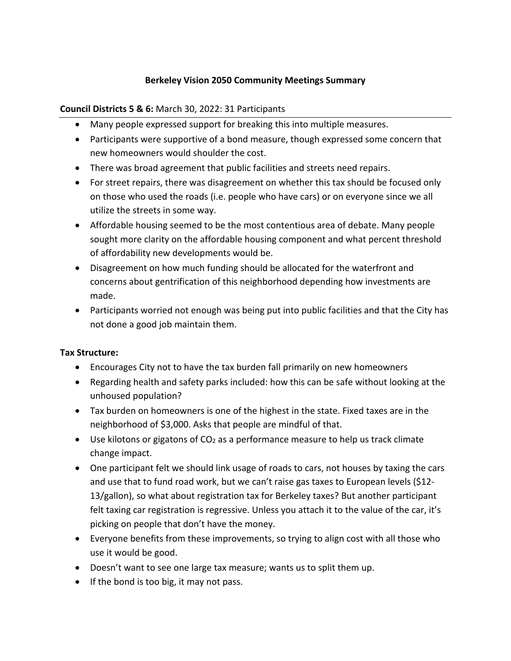# **Berkeley Vision 2050 Community Meetings Summary**

#### **Council Districts 5 & 6:** March 30, 2022: 31 Participants

- Many people expressed support for breaking this into multiple measures.
- Participants were supportive of a bond measure, though expressed some concern that new homeowners would shoulder the cost.
- There was broad agreement that public facilities and streets need repairs.
- For street repairs, there was disagreement on whether this tax should be focused only on those who used the roads (i.e. people who have cars) or on everyone since we all utilize the streets in some way.
- Affordable housing seemed to be the most contentious area of debate. Many people sought more clarity on the affordable housing component and what percent threshold of affordability new developments would be.
- Disagreement on how much funding should be allocated for the waterfront and concerns about gentrification of this neighborhood depending how investments are made.
- Participants worried not enough was being put into public facilities and that the City has not done a good job maintain them.

## **Tax Structure:**

- Encourages City not to have the tax burden fall primarily on new homeowners
- Regarding health and safety parks included: how this can be safe without looking at the unhoused population?
- Tax burden on homeowners is one of the highest in the state. Fixed taxes are in the neighborhood of \$3,000. Asks that people are mindful of that.
- Use kilotons or gigatons of  $CO<sub>2</sub>$  as a performance measure to help us track climate change impact.
- One participant felt we should link usage of roads to cars, not houses by taxing the cars and use that to fund road work, but we can't raise gas taxes to European levels (\$12- 13/gallon), so what about registration tax for Berkeley taxes? But another participant felt taxing car registration is regressive. Unless you attach it to the value of the car, it's picking on people that don't have the money.
- Everyone benefits from these improvements, so trying to align cost with all those who use it would be good.
- Doesn't want to see one large tax measure; wants us to split them up.
- If the bond is too big, it may not pass.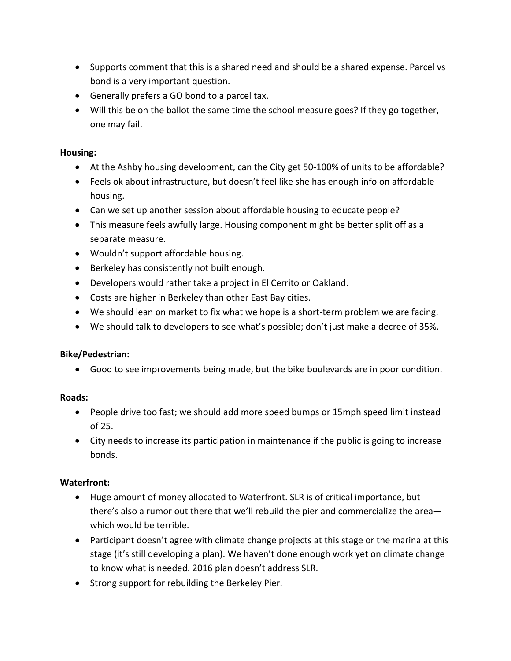- Supports comment that this is a shared need and should be a shared expense. Parcel vs bond is a very important question.
- Generally prefers a GO bond to a parcel tax.
- Will this be on the ballot the same time the school measure goes? If they go together, one may fail.

#### **Housing:**

- At the Ashby housing development, can the City get 50-100% of units to be affordable?
- Feels ok about infrastructure, but doesn't feel like she has enough info on affordable housing.
- Can we set up another session about affordable housing to educate people?
- This measure feels awfully large. Housing component might be better split off as a separate measure.
- Wouldn't support affordable housing.
- Berkeley has consistently not built enough.
- Developers would rather take a project in El Cerrito or Oakland.
- Costs are higher in Berkeley than other East Bay cities.
- We should lean on market to fix what we hope is a short-term problem we are facing.
- We should talk to developers to see what's possible; don't just make a decree of 35%.

#### **Bike/Pedestrian:**

• Good to see improvements being made, but the bike boulevards are in poor condition.

## **Roads:**

- People drive too fast; we should add more speed bumps or 15mph speed limit instead of 25.
- City needs to increase its participation in maintenance if the public is going to increase bonds.

## **Waterfront:**

- Huge amount of money allocated to Waterfront. SLR is of critical importance, but there's also a rumor out there that we'll rebuild the pier and commercialize the area which would be terrible.
- Participant doesn't agree with climate change projects at this stage or the marina at this stage (it's still developing a plan). We haven't done enough work yet on climate change to know what is needed. 2016 plan doesn't address SLR.
- Strong support for rebuilding the Berkeley Pier.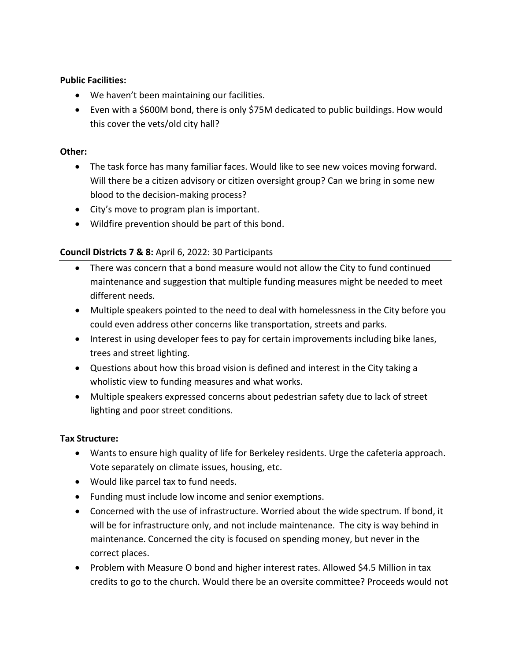#### **Public Facilities:**

- We haven't been maintaining our facilities.
- Even with a \$600M bond, there is only \$75M dedicated to public buildings. How would this cover the vets/old city hall?

#### **Other:**

- The task force has many familiar faces. Would like to see new voices moving forward. Will there be a citizen advisory or citizen oversight group? Can we bring in some new blood to the decision-making process?
- City's move to program plan is important.
- Wildfire prevention should be part of this bond.

# **Council Districts 7 & 8:** April 6, 2022: 30 Participants

- There was concern that a bond measure would not allow the City to fund continued maintenance and suggestion that multiple funding measures might be needed to meet different needs.
- Multiple speakers pointed to the need to deal with homelessness in the City before you could even address other concerns like transportation, streets and parks.
- Interest in using developer fees to pay for certain improvements including bike lanes, trees and street lighting.
- Questions about how this broad vision is defined and interest in the City taking a wholistic view to funding measures and what works.
- Multiple speakers expressed concerns about pedestrian safety due to lack of street lighting and poor street conditions.

## **Tax Structure:**

- Wants to ensure high quality of life for Berkeley residents. Urge the cafeteria approach. Vote separately on climate issues, housing, etc.
- Would like parcel tax to fund needs.
- Funding must include low income and senior exemptions.
- Concerned with the use of infrastructure. Worried about the wide spectrum. If bond, it will be for infrastructure only, and not include maintenance. The city is way behind in maintenance. Concerned the city is focused on spending money, but never in the correct places.
- Problem with Measure O bond and higher interest rates. Allowed \$4.5 Million in tax credits to go to the church. Would there be an oversite committee? Proceeds would not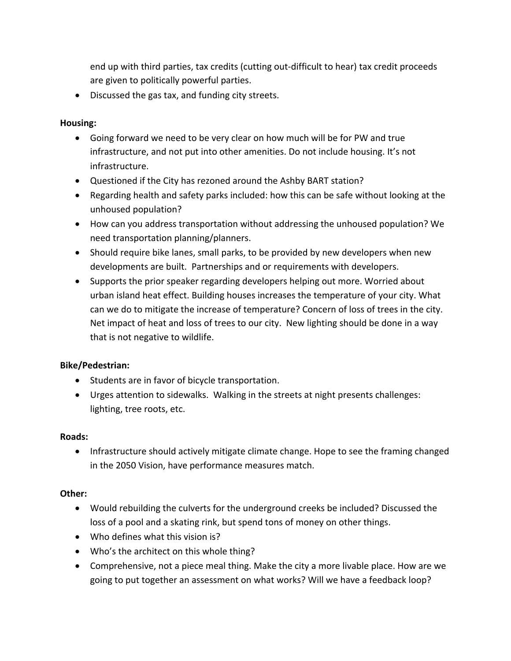end up with third parties, tax credits (cutting out-difficult to hear) tax credit proceeds are given to politically powerful parties.

• Discussed the gas tax, and funding city streets.

# **Housing:**

- Going forward we need to be very clear on how much will be for PW and true infrastructure, and not put into other amenities. Do not include housing. It's not infrastructure.
- Questioned if the City has rezoned around the Ashby BART station?
- Regarding health and safety parks included: how this can be safe without looking at the unhoused population?
- How can you address transportation without addressing the unhoused population? We need transportation planning/planners.
- Should require bike lanes, small parks, to be provided by new developers when new developments are built. Partnerships and or requirements with developers.
- Supports the prior speaker regarding developers helping out more. Worried about urban island heat effect. Building houses increases the temperature of your city. What can we do to mitigate the increase of temperature? Concern of loss of trees in the city. Net impact of heat and loss of trees to our city. New lighting should be done in a way that is not negative to wildlife.

# **Bike/Pedestrian:**

- Students are in favor of bicycle transportation.
- Urges attention to sidewalks. Walking in the streets at night presents challenges: lighting, tree roots, etc.

## **Roads:**

• Infrastructure should actively mitigate climate change. Hope to see the framing changed in the 2050 Vision, have performance measures match.

## **Other:**

- Would rebuilding the culverts for the underground creeks be included? Discussed the loss of a pool and a skating rink, but spend tons of money on other things.
- Who defines what this vision is?
- Who's the architect on this whole thing?
- Comprehensive, not a piece meal thing. Make the city a more livable place. How are we going to put together an assessment on what works? Will we have a feedback loop?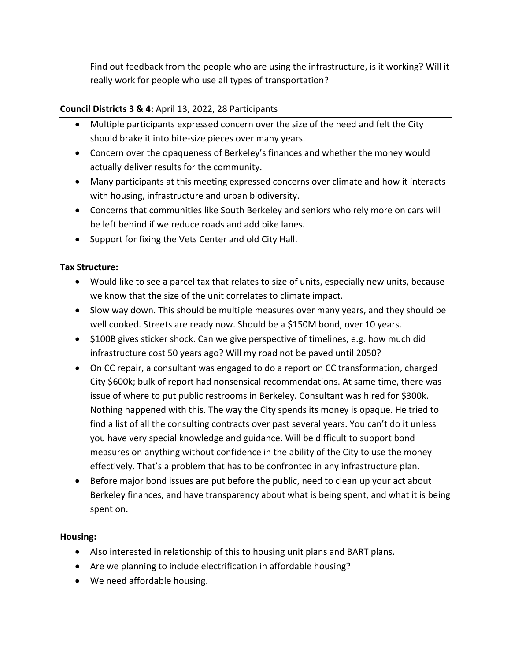Find out feedback from the people who are using the infrastructure, is it working? Will it really work for people who use all types of transportation?

## **Council Districts 3 & 4:** April 13, 2022, 28 Participants

- Multiple participants expressed concern over the size of the need and felt the City should brake it into bite-size pieces over many years.
- Concern over the opaqueness of Berkeley's finances and whether the money would actually deliver results for the community.
- Many participants at this meeting expressed concerns over climate and how it interacts with housing, infrastructure and urban biodiversity.
- Concerns that communities like South Berkeley and seniors who rely more on cars will be left behind if we reduce roads and add bike lanes.
- Support for fixing the Vets Center and old City Hall.

## **Tax Structure:**

- Would like to see a parcel tax that relates to size of units, especially new units, because we know that the size of the unit correlates to climate impact.
- Slow way down. This should be multiple measures over many years, and they should be well cooked. Streets are ready now. Should be a \$150M bond, over 10 years.
- \$100B gives sticker shock. Can we give perspective of timelines, e.g. how much did infrastructure cost 50 years ago? Will my road not be paved until 2050?
- On CC repair, a consultant was engaged to do a report on CC transformation, charged City \$600k; bulk of report had nonsensical recommendations. At same time, there was issue of where to put public restrooms in Berkeley. Consultant was hired for \$300k. Nothing happened with this. The way the City spends its money is opaque. He tried to find a list of all the consulting contracts over past several years. You can't do it unless you have very special knowledge and guidance. Will be difficult to support bond measures on anything without confidence in the ability of the City to use the money effectively. That's a problem that has to be confronted in any infrastructure plan.
- Before major bond issues are put before the public, need to clean up your act about Berkeley finances, and have transparency about what is being spent, and what it is being spent on.

#### **Housing:**

- Also interested in relationship of this to housing unit plans and BART plans.
- Are we planning to include electrification in affordable housing?
- We need affordable housing.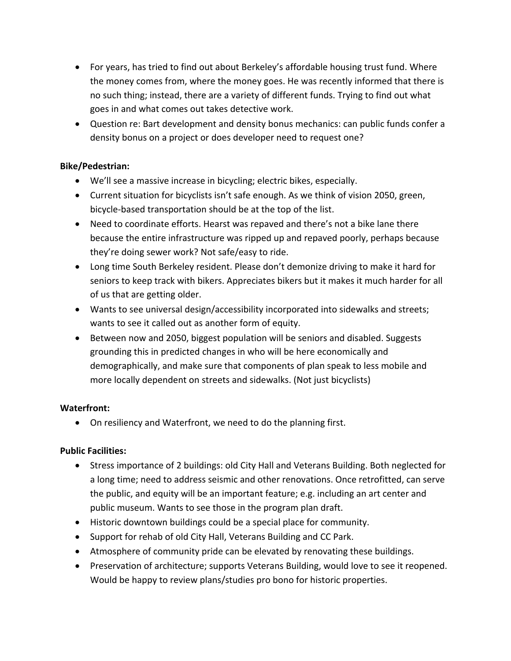- For years, has tried to find out about Berkeley's affordable housing trust fund. Where the money comes from, where the money goes. He was recently informed that there is no such thing; instead, there are a variety of different funds. Trying to find out what goes in and what comes out takes detective work.
- Question re: Bart development and density bonus mechanics: can public funds confer a density bonus on a project or does developer need to request one?

## **Bike/Pedestrian:**

- We'll see a massive increase in bicycling; electric bikes, especially.
- Current situation for bicyclists isn't safe enough. As we think of vision 2050, green, bicycle-based transportation should be at the top of the list.
- Need to coordinate efforts. Hearst was repaved and there's not a bike lane there because the entire infrastructure was ripped up and repaved poorly, perhaps because they're doing sewer work? Not safe/easy to ride.
- Long time South Berkeley resident. Please don't demonize driving to make it hard for seniors to keep track with bikers. Appreciates bikers but it makes it much harder for all of us that are getting older.
- Wants to see universal design/accessibility incorporated into sidewalks and streets; wants to see it called out as another form of equity.
- Between now and 2050, biggest population will be seniors and disabled. Suggests grounding this in predicted changes in who will be here economically and demographically, and make sure that components of plan speak to less mobile and more locally dependent on streets and sidewalks. (Not just bicyclists)

## **Waterfront:**

• On resiliency and Waterfront, we need to do the planning first.

## **Public Facilities:**

- Stress importance of 2 buildings: old City Hall and Veterans Building. Both neglected for a long time; need to address seismic and other renovations. Once retrofitted, can serve the public, and equity will be an important feature; e.g. including an art center and public museum. Wants to see those in the program plan draft.
- Historic downtown buildings could be a special place for community.
- Support for rehab of old City Hall, Veterans Building and CC Park.
- Atmosphere of community pride can be elevated by renovating these buildings.
- Preservation of architecture; supports Veterans Building, would love to see it reopened. Would be happy to review plans/studies pro bono for historic properties.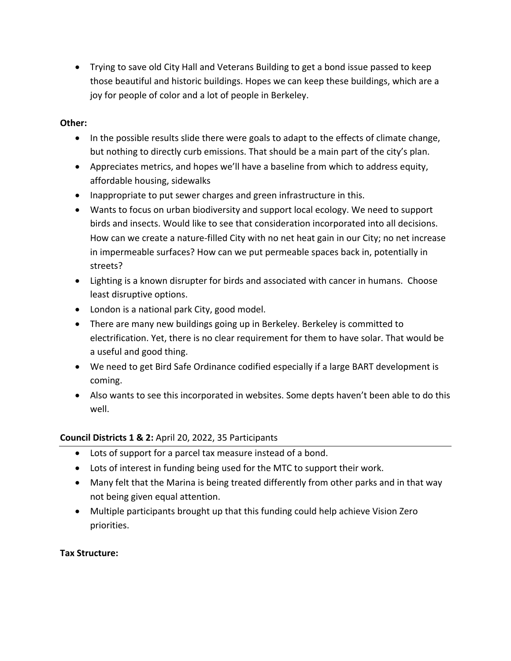• Trying to save old City Hall and Veterans Building to get a bond issue passed to keep those beautiful and historic buildings. Hopes we can keep these buildings, which are a joy for people of color and a lot of people in Berkeley.

## **Other:**

- In the possible results slide there were goals to adapt to the effects of climate change, but nothing to directly curb emissions. That should be a main part of the city's plan.
- Appreciates metrics, and hopes we'll have a baseline from which to address equity, affordable housing, sidewalks
- Inappropriate to put sewer charges and green infrastructure in this.
- Wants to focus on urban biodiversity and support local ecology. We need to support birds and insects. Would like to see that consideration incorporated into all decisions. How can we create a nature-filled City with no net heat gain in our City; no net increase in impermeable surfaces? How can we put permeable spaces back in, potentially in streets?
- Lighting is a known disrupter for birds and associated with cancer in humans. Choose least disruptive options.
- London is a national park City, good model.
- There are many new buildings going up in Berkeley. Berkeley is committed to electrification. Yet, there is no clear requirement for them to have solar. That would be a useful and good thing.
- We need to get Bird Safe Ordinance codified especially if a large BART development is coming.
- Also wants to see this incorporated in websites. Some depts haven't been able to do this well.

## **Council Districts 1 & 2:** April 20, 2022, 35 Participants

- Lots of support for a parcel tax measure instead of a bond.
- Lots of interest in funding being used for the MTC to support their work.
- Many felt that the Marina is being treated differently from other parks and in that way not being given equal attention.
- Multiple participants brought up that this funding could help achieve Vision Zero priorities.

## **Tax Structure:**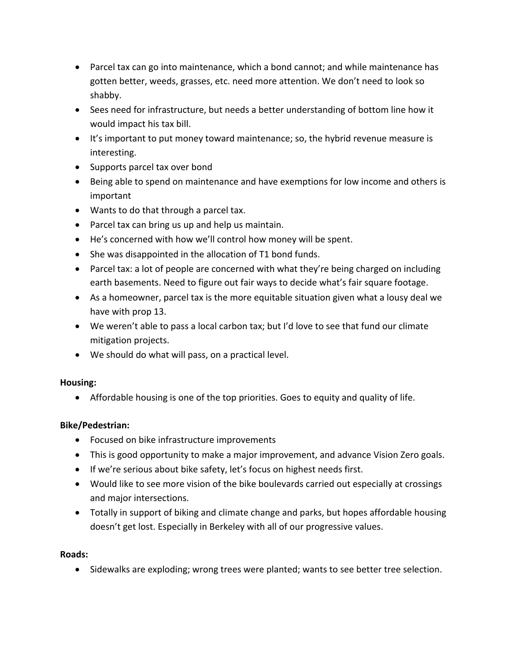- Parcel tax can go into maintenance, which a bond cannot; and while maintenance has gotten better, weeds, grasses, etc. need more attention. We don't need to look so shabby.
- Sees need for infrastructure, but needs a better understanding of bottom line how it would impact his tax bill.
- It's important to put money toward maintenance; so, the hybrid revenue measure is interesting.
- Supports parcel tax over bond
- Being able to spend on maintenance and have exemptions for low income and others is important
- Wants to do that through a parcel tax.
- Parcel tax can bring us up and help us maintain.
- He's concerned with how we'll control how money will be spent.
- She was disappointed in the allocation of T1 bond funds.
- Parcel tax: a lot of people are concerned with what they're being charged on including earth basements. Need to figure out fair ways to decide what's fair square footage.
- As a homeowner, parcel tax is the more equitable situation given what a lousy deal we have with prop 13.
- We weren't able to pass a local carbon tax; but I'd love to see that fund our climate mitigation projects.
- We should do what will pass, on a practical level.

# **Housing:**

• Affordable housing is one of the top priorities. Goes to equity and quality of life.

# **Bike/Pedestrian:**

- Focused on bike infrastructure improvements
- This is good opportunity to make a major improvement, and advance Vision Zero goals.
- If we're serious about bike safety, let's focus on highest needs first.
- Would like to see more vision of the bike boulevards carried out especially at crossings and major intersections.
- Totally in support of biking and climate change and parks, but hopes affordable housing doesn't get lost. Especially in Berkeley with all of our progressive values.

## **Roads:**

• Sidewalks are exploding; wrong trees were planted; wants to see better tree selection.